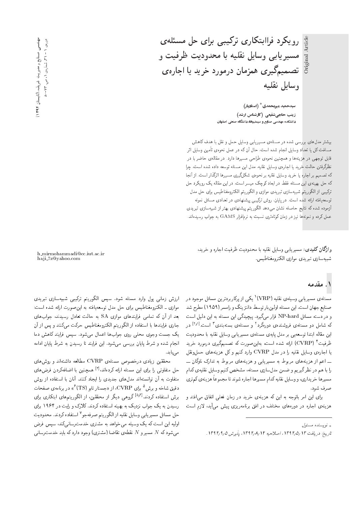رویکرد فراابتکاری ترکیبی برای حل مسئلهی مسیریابی وسایل نقلیه با محدودیت ظرفیت و تصمیمگیری همزمان درمورد خرید یا اجارهی وسايل نقليه

> سیدحمید میرمحمدی \* (استادیار) زینب حاجی شفیعی (کارشناس ارشد) دانشکده مهندسی صنایع و سیستمها، دانشگاه صنعتی اصفهان

.<br>بیشتر مدل های بررسی شده در مسئلهی مسیر یابی وسایل حمل و نقل با هدف کاهش مسافت کل یا تعداد وسایل انجام شده است، حال آن که در عمل نحوهی تأمین وسایل اثر قابل توجهی در هزینهها و همچنین نحوهی طراحی مسیرها دارد. در مقالهی حاضر با در نظرگرفتن حالت خرید یا اجاروی وسایل نقلیه، مدل این مسئله توسعه داده شده است، چرا که تصمیم بر اجاره یا خرید وسایل نقلیه بر نحوهی شکلگیری مسیرها اثرگذار است. از آنجا که حل بهینهی این مسئله فقط در ابعاد کوچک میسر است، در این مقاله یک رویکرد حل ترکیبی از الگوریتم شبیهسازی تبریدی موازی و الگوریتم الکترومغناطیس برای حل مدل توسعه یافته ارائه شده است. در پایان، روش ترکیبی پیشنهادی در تعدادی مسائل نمونه .<br>آزموده شده که نتایج حاصله نشان میدهد الگوریتم پیشنهادی بهتر از شبیهسازی تبریدی عمل کرده و نمونهها نیز در زمان کوتاهتری نسبت به نرم|فزار GAMS به جواب رسیده|ند.

وا**ژگان کلیدی**: مسیریابی وسایل نقلیه با محدودیت ظرفیت اجاره و خرید، شبيهسازي تيريدي موازي الكترومغناطيس.

h\_mirmohammadi@cc.iut.ac.ir haji\_7z@yahoo.com

### ۱. مقدمه

مسئلهى مسيريابي وسيلهى نقليه (VRP)` يكي از يركاربردترين مسائل موجود در صنایع جهان است. این مسئله اولینبار توسط دانتزینگ و رامسر (۱۹۵۹) مطرح شد و در دسته مسائل NP-hard قرار میگیرد. پیچیدگی این مسئله به این دلیل است که شامل دو مسئلهی فروشندهی دورهگرد<sup>۲</sup> و مسئلهی بستهبندی۳ است.<sup>[۱۶۱</sup> در این مقاله ابتدا توسعهیی بر مدل پایهی مسئلهی مسیریابی وسایل نقلیه با محدودیت ظرفیت ٔ (CVRP) ارائه شده است، بهاین صورت که تصمیمگیری درمورد خرید یا اجارهی وسایل نقلیه را در مدل CVRP وارد کنیم و کل هزینههای حمل ونقل ۔۔اعم از هزینههای مربوط به مسیریابی و هزینههای مربوط به تدارک ناوگان ۔۔ را با هم در نظر گیریم و ضمن مدلسازی مسئله، مشخص کنیم وسایل نقلیهی کدام مسیرها خریداری، و وسایل نقلیه کدام مسیرها اجاره شوند تا مجموعاً هزینهی کم تری صرف شود.

برای این امر باتوجه به این که هزینهی خرید در زمان فعلمی اتفاق می افتد و هزینهی اجاره در دورههای مختلف در افق برنامهریزی پیش میآید. لازم است

ارزش زمانی پول وارد مسئله شود. سپس الگوریتم ترکیبی شبیهسازی تبریدی موازی ـ الکترومغناطیس برای حل مدل توسعه یافته به این صورت ارائه شده است: .<br>بعد از آن که تمامی فرایندهای موازی SA به حالت تعادل رسیدند، جوابهای .<br>جاری فرایندها با استفاده از الگوریتم الکترومغناطیس حرکت میکنند و پس از آن یک جست وجوی محلی روی جوابها اعمال می شود. سیس فرایند کاهش دما انجام شده و شرط پایان بررسی میشود. این فرایند تا رسیدن به شرط پایان ادامه مىيابد.

محققین زیادی درخصوص مسئلهی CVRP مطالعه داشتهاند و روش های حل متفاوتی را برای این مسئله ارائه کردهاند،<sup>[۳]</sup> همچنین با اضافهکردن فرض *ه*ای متفاوت به آن توانستهاند مدلهای جدیدی را ایجاد کنند. آنان با استفاده از روش دقیق شاخه و برش<sup>۵</sup> برای CVRP، از «جستار تابو (TS)<sup>۶</sup>» در برنامهی صفحات برش استفاده کردند.<sup>[۶٫۴]</sup> گروهی دیگر از محققین، از الگوریتمهای ابتکاری برای رسیدن به یک جواب نزدیک به بهینه استفاده کردند. کلارک و رایت در ۱۹۶۴ برای حل مسائل مسيريابي وسايل نقليه از الگوريتم صرفهجو<sup>٧</sup> استفاده كردند. محدوديت اولیه این است که یک وسیله می خواهد به مشتری خدمت رسانی کند، سیس فرض میشود که N مسیر و N نقطهی تقاضا (مشتری) وجود دارد که باید خدمت رسانی

<sup>»</sup> نوسېنده مسئول

تاريخ: دريافت ١٣٩٢/٥/١٣٩٢، اصلاحيه ١٣٩٢/٨/١٣٩٢، يذيرش ١٣٩٢/٩/١.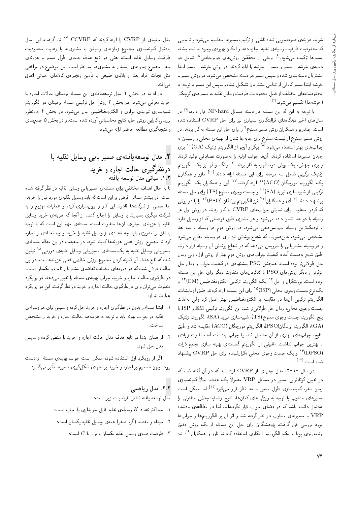شوند. هزینهی صرفهجویی شده ناشی از ترکیب مسیرها محاسبه می شود و تا جایی که محدودیت ظرفیت وسیلهی نقلیه اجازه دهد و امکان بهبودی وجود نداشته باشد، مسیرها ترکیب میشود.<sup>[۶]</sup> برخی از محققین روشهای دومرحلهیی<sup>۸</sup>، شامل دو دستهی خوشه ــ مسیر و مسیر ــ خوشه را ارائه کردند. در روش خوشه ــ مسیر ابتدا مشتریان دستهبندی شده و سپس مسیر هر دسته مشخص می شود. در روش مسیر ـ خوشه ابتدا مسیرکاملی از تمامی مشتریان تشکیل شده و سپس این مسیر یا توجه به محدودیت های مختلف از قبیل محدودیت ظرفیت وسایل نقلیه به مسیرهای کوچکتر (خوشەھا) تقسیم مے شود. <sup>[۶]</sup>

با توجه به این که این مسئله در دسته مسائل NP-hard قرار دارد،<sup>[۷]</sup> در سال های اخیر دیدگاههای فراابتکاری بسیاری نیز برای حل CVRP استفاده شده است. جندر بو و همکاران روش مسیر ممنوع<sup>۹</sup> را برای حل این مسئله به کار بردند. در روش مسیر ممنوع از لیست ممنوع برای جابهجا شدن از بهینهی محلبی و رسیدن به جوابهای بهتر استفاده میشود.<sup>[۸]</sup> بیکر و آیچو از الگوریتم ژنتیک (GA)°<sup>۱</sup> برای چيدن مسيرها استفاده كردند. آنها جواب اوليه را بهصورت تصادفي توليد كردند و برای جهش، یک روش دومنظوره به کار بردند.<sup>[۹]</sup> وانگ و لو نیز یک الگوریتم ژنتیک ترکیبی شامل سه مرحله برای این مسئله ارائه دادند.<sup>[۱۰]</sup> مازو و همکاران يک الگوريتم مورچگان (ACO)<sup>١١</sup> ارائه کردند.<sup>[۱۱]</sup> لين و همکاران يک الگوريتم ترکیبی از شبیهسازی تبرید (SA)<sup>۱۲</sup> و جست وجوی ممنوع (TS) برای حل مسئله پیشنهاد دادند.<sup>[۶]</sup> آی و همکاران<sup>[۱۲]</sup> نیز الگوریتم پرندگان (PSO)<sup>۱۳</sup> را با دو روش کد کردن متفاوت برای نمایش جوابهای CVRP به کار بردند. در روش اول هر وسیله با دو بعد نشان داده می شود و هر مشتری طبق فواصلی که از وسایل دارد با نزدیکترین وسیله سرویس دهی می شود. در روش دوم هر وسیله با سه بعد مشخص میشود، بدین صورت که شعاع پوشش نیز برای هر وسیله مطرح می شود و هر وسیله مشتریانی را سرویس میدهد که در شعاع پوشش آن وسیله قرار دارند. طبق نتایج بهدست آمده، کیفیت جوابهای روش دوم بهتر از روش اول، ولی زمان حل طولانی تر بوده است. همچنین PSO پیشنهادی درکیفیت جواب و زمان حل مؤثرتر از دیگر روش های PSO با کدکردن های متفاوت دیگر برای حل این مسئله بوده است. یورتکران و امل<sup>[۱۲]</sup> یک الگوریتم ترکیبی الکترومغناطیس (EM)<sup>۱۴</sup> و يک نوع جست وجوى محلى (ISP)<sup>١٥</sup> براى اين مسئله ارائه كردند. طبق أزمايشات، الگوریتم ترکیبی آنها در مقایسه با الکترومغناطیس بهتر عمل کرد ولی بهعلت جست وجوى محلي، زمان حل طولاني تر شد. اين الگوريتم تركيبي EM و ISP با پنج الگوريتم جست وجوي ممنوع (TS)، شبيهسازي تبريد (SA)، الگوريتم ژنتيک (GA)، الكوريتم پرندگان(PSO)، الكوريتم مورچگان (ACO) مقايسه شد و طبق نتایج، جوابهای بهتری از آن حاصل شد، یا جواب بهدست آمده تفاوت زیادی با بهترین جواب نداشت. تلفیقی از الگوریتم گسستهی بهینه سازی تجمع ذرات (DPSO)<sup>۱۶</sup> و یک جست وجوی محل<sub>ق</sub> تکرارشونده برای حل CVRP پیشنها**د** شده است.<sup>[۱۴]</sup>

در سال ۲۰۱۰، مدل جدیدی از CVRP ارائه شد که در آن گفته شده که در تعیین کوتاهترین مسیر در مسائل VRP معمولاً یک هدف، مثلاً کمینهسازی زمان سفر، کمینهسازی طول مسیر.... مد نظر قرار میگیرد<sup>[۱۵]</sup> اما ممکن است مسیرهای متناوب با توجه به ویژگیههای کمانها، نتایج رضایتبخش متفاوتی را به دنبال داشته باشد که در فضای جواب قرار نگرفتهاند. لذا در مطالعه ی یادشده VRP با مسیرهای متناوب در نظر گرفته شد و اثر آن بر الگوریتمها و جوابها مورد بررسی قرار گرفت. پژوهشگران برای حل این مسئله از یک روش دقیق برنامەریزی پویا و یک الگوریتم ابتکاری استفاده کردند. ناوو و همکاران<sup>[۱۶]</sup> نیز

مدل جدیدی از CVRP را ارائه کردند که CVRP <sup>۱۷</sup> نام گرفت. این مدل بهدنبال کمینهسازی مجموع زمانهای رسیدن به مشتریها با رعایت محدودیت ظرفیت وسایل نقلیه است، یعنی در تابع هدف بهجای طول مسیر یا هزینهی سفر، مجموع زمانهای رسیدن به مشتریها مد نظر است. این موضوع در مواقعی مثل نجات افراد بعد از بلایای طبیعی یا تأمین زنجیرهی کالاهای حیاتی اتفاق مے افتد.

در ادامه در بخش ۲ مدل توسعه یافتهی این مسئله برمبنای حالات اجاره یا خرید معرفی می شود. در بخش ۳ روش حل ترکیبی مسئله برمبنای دو الگوریتم شبیهسازی تبریدی موازی و الکترومغناطیس بیان میشود. در بخش ۴ بهمنظور بررسی کارایی روش حل، نتایج محاسباتی آورده شده است. و در بخش ۵ جمع بندی و نتیجهگیری مطالعه حاضر ارائه مه شود.

## ۲. مدل توسعهیافتهی مسیر یابی وسایل نقلیه با درنظرگیری حالت اجاره و خرید ٠١.٢ مباني مدل توسعه يافته

تا به حال اهداف مختلفی برای مسئلهی مسیریابی وسایل نقلیه در نظر گرفته شده است. در بیشتر مسائل فرض بر این است که باید وسایل نقلیهی مورد نیاز را خرید، اما بعضی از شرکت ها قادرند این کار را برون سپاری کرده و عملیات توزیع را به شرکت دیگری بسپارند یا وسایل را اجاره کنند. از آنجا که هزینهی خرید وسایل نقلیه با هزینهی اجارهی آنها متفاوت است، مسئلهی مهم این است که با توجه به افق برنامهریزی باید چه تعدادی از وسایل نقلیه را خرید و چه تعدادی را اجاره کرد تا مجموع ارزش فعلی هزینهها کمینه شود. در حقیقت در این مقاله مسئلهی مسیریابی وسایل نقلیه به یک مسئلهی مسیریابی وسایل نقلیهی دورهیی<sup>۱۸</sup> تبدیل شده که تابع هدف آن کمینه کردن مجموع ارزش خالص فعلمی هزینههاست. در این حالت فرض شده که در دورههای مختلف تقاضای مشتریان ثابت و یکسان است. در نظرگیری حالت اجاره و خرید، جواب بهینهی مسئله را تغییر می0دهد. دو رویکرد متفاوت می توان برای درنظرگیری حالت اجاره و خرید در نظر گرفت. این دو رویکرد عبارتاند از:

- ۱. ابتدا مسئلهوا بدون در نظرگیری اجاره و خرید حل کرده و سپس برای هر وسیلهی نقلیه در جواب بهینه باید با توجه به هزینهها، حالت اجاره و خرید را مشخص ساخت.
- ۲. از همان ابتدا در تابع هدف مدل حالت اجاره و خرید را منظور کرده و سپس مدل حل شود.

اگر از رویکرد اول استفاده شود، ممکن است جواب بهینهی مسئله از دست برود، چون تصمیم بر اجاره و خرید بر نحوهی شکلگیری مسیرها تأثیر میگذارد.

### .٢.٢ مدل رياضي

مدل توسعه يافته شامل فرضيات زير است:

- . حداکثر تعداد  $K$  وسیلهی نقلیه قابل خریداری یا اجاره است؛
- ۲. ً مبداء و مقصد (گره صفر) همهی وسایل نقلیه یکسان است؛
	- . ظرفیت همهی وسایل نقلیه یکسان و برابر با  $C$  است؛  $^\circ$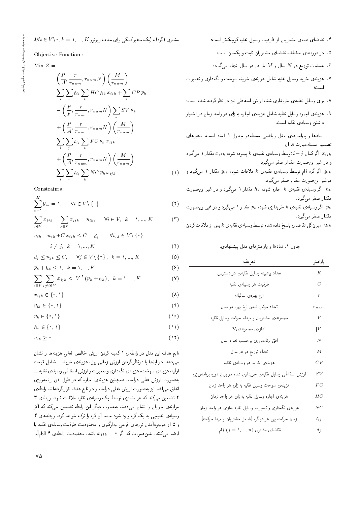$$
(\forall i \in V \setminus \text{°}, k = 1, ..., K
$$
می برای حذف زیرتور

Objective Function :

$$
Min Z =
$$

$$
= \left(\frac{P}{A}, \frac{r}{r_{num}}, r_{num}N\right)\left(\frac{M}{r_{num}}\right)
$$
  
\n
$$
\sum_{i}\sum_{j} t_{ij}\sum_{k} HC\ h_{k}\ x_{ijk} + \sum_{k} CPp_{k}
$$
  
\n
$$
- \left(\frac{P}{F}, \frac{r}{r_{num}}, r_{num}N\right)\sum_{k} SVp_{k}
$$
  
\n
$$
+ \left(\frac{P}{A}, \frac{r}{r_{num}}, r_{num}N\right)\left(\frac{M}{r_{num}}\right)
$$
  
\n
$$
\sum_{i}\sum_{j} t_{ij}\sum_{k} FCp_{k}\ x_{ijk}
$$
  
\n
$$
+ \left(\frac{P}{A}, \frac{r}{r_{num}}, r_{num}N\right)\left(\frac{M}{r_{num}}\right)
$$
  
\n
$$
\sum_{i}\sum_{j} t_{ij}\sum_{k} NCp_{k}\ x_{ijk}
$$
 (1)

Constraints :

$$
\sum_{k=1}^{K} y_{ik} = 1, \quad \forall i \in V \setminus \{ \circ \} \tag{1}
$$

$$
\sum_{j \in V} x_{ijk} = \sum_{j \in V} x_{jik} = y_{ik}, \quad \forall i \in V, \ k = 1, ..., K
$$
 (7)

 $u_{ik} - u_{jk} + C x_{ijk} \leq C - d_i$ ,  $\forall i, j \in V \setminus \{\circ\},\$ 

 $i \neq j, \ \ k = 1, ..., K$  (\*)

$$
d_j \le u_{jk} \le C, \quad \forall j \in V \setminus \{\cdot\}, \quad k = 1, ..., K
$$
 (2)

$$
p_k + h_k \le \lambda, \quad k = \lambda, ..., K \tag{9}
$$

$$
\sum_{i \in V} \sum_{j \neq i \in V} x_{ijk} \leq |V|^{\dagger} (p_k + h_k), \ \ k = 1, ..., K
$$
 (Y)

$$
x_{ijk} \in \{ \circ, \mathcal{V} \} \tag{A}
$$

$$
y_{ik} \in \{ \circ, \mathcal{V} \} \tag{4}
$$

$$
p_k \in \{ \circ, \mathcal{V} \} \tag{10}
$$

$$
h_k \in \{ \circ, \mathcal{V} \} \tag{11}
$$

$$
u_{ik} \geq \circ \tag{17}
$$

تابع هدف این مدل در رابطهی ۱ کمینه کردن ارزش خالص فعلی هزینهها را نشان مے دھد. در اینجا یا درنظر گرفتن ارزش زمانی پول، هزینهی خرید ۔۔ شامل قیمت اولیه، هزینهی سوخت، هزینهی نگه داری و تعمیرات و ارزش اسقاطی وسیلهی نقلیه <u>-</u>-بهصورت ارزش فعلمی درآمده، همچنین هزینهی اجاره که در طول افق برنامهریزی اتفاق مىافتد نيز به صورت ارزش فعلى درآمده و در تابع هدف قرار گرفتهاند. رابطهى ۲ تضمین میرکند که هر مشتری توسط یک وسیلهی نقلیه ملاقات شود. رابطهی ۳ موازنهى جريان را نشان مى،دهد. به عبارت ديگر اين رابطه تضمين مى،كند كه اگر وسیلهی نقلیه یی به یک گره وارد شود حتما آن گره را ترک خواهد کرد. رابطههای ۴ و ۵ از بهوجودآمدن تورهای فرعی جلوگیری و محدودیت ظرفیت وسیلهی نقلیه را ارضا میکنند. بدین صورت که اگر م $x_{ijk} = x_{ijk}$  باشد، محدودیت رابطهی ۴ الزامآور

- ۵. در دورههای مختلف تقاضای مشتریان ثابت و یکسان است؛
- . عملیات توزیع در  $N$  سال و  $M$  بار در هر سال انجام میگیرد؛  $^{\circ}$
- .<br>۷. هزینه ی خرید وسایل نقلیه شامل هزینه ی خرید، سوخت و نگهداری و تعمیرات است؛<br>-
- A. برای وسایل نقلیهی خریداری شده ارزش اسقاطی نیز در نظرگرفته شده است؛
- ۹. هزینه ی اجاره وسایل نقلیه شامل هزینه ی اجاره بهازای هر واحد زمان در اختیار داشتن وسيله ي نقليه است.

نمادها و پارلمترهای مدل ریاضی مسئلهدر جدول ۱ آمده است. متغیرهای تصميم مسئله عبارتاند از:

۰۰۱:۰ اگر کمان 
$$
i - j
$$
 توسط وسیلهی نقلیهی ۶۰ پیموده شود،  $x_{ijk}$  مقدار ۱ میگیرد  
و در غیر این صورت مقدار صفر میگیرد.  
یاگے کیان می دیا میتی ای دیان ایدیا ایدیا

: اگر گره iام توسط وسیله،ی نقلیهی k ملاقات شود،  $y_{ik}$  مقدار ۱ میگیرد و $y_{ik}$ درغير اين صورت مقدار صفر مي گيرد.

: اگر وسیلهی نقلیهی  $k$  اجاره شود،  $h_k$  مقدار ۱ میگیرد و در غیر این $\epsilon$ وت مقدار صفر ميگيرد.

: اگر وسیلهی نقلیهی  $k$  خریداری شود،  $p_k$  مقدار ۱ مم $\overset{\bullet}{\mathcal{Z}}$ یرد و در غیر این $p_k$ مقدار صفر مي گيرد.

سيزان كل تقاضاي ياسخ داده شده توسط وسيلهى نقليهى k يس از ملاقات كردن : $u_{ik}$ 

جدول ١. نمادها و يارامترهاى مدل بيشنهادى.

| تعريف                                                         | پا رامتر       |
|---------------------------------------------------------------|----------------|
| تعداد ببیشینه وسایل نقلیهی در دسترس                           | K              |
| ظرفيت هر وسيلهى نقليه                                         | C              |
| نرخ بهرەى سالىيانە                                            | $\overline{r}$ |
| تعداد مرکب شدن نرخ بهره در سال                                | $r_{n, um}$    |
| مجموعهى مشتريان و مبداء حركت وسايل نقليه                      | V              |
| اندازەي مجموعەيV                                              | V              |
| افق برنامه٫یزی برحسب تعداد سال                                | N              |
| تعداد توزیع در هر سال                                         | M              |
| هزينهى خريد هر وسيلهى نقليه                                   | CP             |
| ارزش اسقاطی وسایل نقلیهی خریداری شده در پایان دوره برنامهریزی | $_{SV}$        |
| هزینه،ی سوخت وسایل نقلیه بهازای هر واحد زمان                  | FC             |
| هزینه،ی اجاره وسایل نقلیه بهازای هر واحد زمان                 | HC             |
| هزینهی نگهداری و تعمیرات وسایل نقلیه بهازای هر واحد زمان      | ΝC             |
| زمان حرکت بین هر دوگره (شامل مشتریان و مبدا حرکت)             | $t_{ij}$       |
| تقاضای مشتری $(j = 1, , n)$ ام.                               | $d_j$          |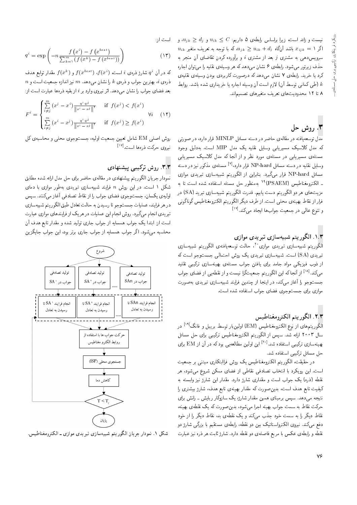نیست و زائد است، زیرا براساس رابطهی ۵ داریم:  $c\leq u_{ik} \leq d_j$  و  $u_{ik}\geq d_j$  و  $u_{jk}\geq d_j$  $u_{ik}$  اگر  $u_{ijk} = u_{ijk} \geq u_{ik} + d_j$  اگر  $x_{ijk} = b$  'طریف متغیر سرویس دهی به مشتری  $j$  بعد از مشتری  $i$  و برآورده کردن تقاضای آن منجر به حذف زیرتور می شود. رابطه ی ۶ نشان می دهد که هر وسیله ی نقلیه را می توان اجاره کرد یا خرید. رابطهی ۷ نشان می،دهد که درصورت کاربردی بودن وسیلهی نقلیهی طی کمانی توسط آن) لازم است آن وسیله اجاره یا خریداری شده باشد. روابط  $k$ N تا ١٢ محدوديت هاى تعريف متغيرهاى تصميم اند.

# ۰۳ روش حل

مدل توسعه یافته در مقالهی حاضر در دسته مسائل MINLP قرار دارد، در صورتی که مدل کلاسیک مسیریابی وسایل نقلیه یک مدل MIP است. بهدلیل وجود مسئلهی مسیریابی در مسئلهی مورد نظر و از آنجا که مدل کلاسیک مسیریابی وسایل نقلیه در دسته مسائل NP-hard قرار دارد،<sup>[۷]</sup> مسئلهی مذکور نیز در دسته<br>سایا باید با ۱۲D تاریخی می ایران بای<sup>ر</sup>ی مسائل NP-hard قرار مىگيرد. بنابراين از الگوريتم شبيهسازى تېرېدى موازى ـ الكترومغناطيس (PSAEM)<sup>١٠</sup> بەمنظور حل مسئداه ستفاده شده است تا به<br>التحصيل التحصيل مزيتهاي هر دو الگوريتم دست يابيم. قدرت الگوريتم شبيهسازي تبريد (SA) در فرار از نقاط بهينهى محلى است. از طرف ديگر الگوريتم الكترومغناطيس گوناگونى و تنوع عال<sub>ی</sub> در جمعیت جوابها ایجاد م<sub>ی</sub>کند.<sup>[۱۷]</sup><br>.

### ۱.۳. الگوريتم شبيهسازي تبريدي موازي

الگوريتم شبيهسازى تبريدى موازى``، حالت توسعهافتهى الگوريتم شبيهسازى<br>- سد با اداكا است مىسطى مىلىمىدىكى مىمالىما ا تبریدی (SA) است. شبیهسازی تبریدی یک روش احتمالی جستوجو است که از ذوب فیزیکمی مواد جامد برای یافتن جواب مسئلهی بهینهسازی ترکیبی تقلید میکند.<sup>[۱۸]</sup> از آنجا که این الگوریتم جمعیتگرا نیست و از نقطه یی از فضای جواب<br>میکند.<sup>[۱۸]</sup> از آنها جست وجو را أغاز مى كند، در اينجا از چندين فرايند شبيهسازى تبريدى بهصورت موازي براي جستوجوي فضاي جواب استفاده شده است.

### ٢.٣. الگوريتم الكترومغناطيس

الگوریتمهای از نوع الکترومغناطیس (EM) اولینkار توسط بریبل و فانگ<sup>[۱۹]</sup> در<br>بال ۱۳۰۰ میلاداری در مطلبه استانگریت الکترین نظامی سال ۲۰۰۳ ارائه شد. سپس از الگوریتم الکترومغناطیس ترکیبی برای حل مسائل بهینهسازی ترکیبی استفاده شد.<sup>[۲۰]</sup> این اولین مطالعه<sub></sub>بی بود که در آن از EM برای<br>به حل مسائل تركيبي استفاده شد.

در حقیقت، الگوریتم الکترومغناطیس یک روش فراابتکاری مبتنی بر جمعیت است. این رویکرد با انتخاب تصادفی نقاطی از فضای ممکن شروع می شود، هر نقطه (ذره) یک جواب است و مقداری شارژ دارد. مقدار این شارژ نیز وابسته به کیفیت تابع هدف است، بدین صورت که مقدار بهینهی تابع هدف، شارژ بیشتری ر<u>ا</u> نتیجه مه.دهد. سپس برمینای همین مقدار شارژ، یک سازوکار ربایش ـ رانش برای حرکت نقاط به سمت جواب بهینه اجرا می شود، بدین صورت که یک نقطهی بهینه، نقاط دیگر را به سمت خود جذب میکند و یک نقطهی بد، نقاط دیگر را از خود دفع میکند. نیروی الکترواستاتیک بین دو نقطه، رابطهی مستقیم با بزرگی شارژ دو نقطه و رابطهى عكس با مربع فاصلهى دو نقطه دارد. شارژ ثابت هر ذره نيز عبارت

$$
q^{i} = \exp\left(-n \frac{f\left(x^{i}\right) - f\left(x^{best}\right)}{\sum_{k=1}^{m} \left(f\left(x^{k}\right) - f\left(x^{best}\right)\right)}\right)
$$
\n(17)

که در آن <sup>ن</sup>ه شارژ ذرهی i است. ( $f(x^i)$  ( $f(x^{best})$  و  $f(x^{best})$  مقدار توابع هدف $f(x^i)$  $n$  نروی  $i$ ، بهترین جواب و ذروی  $k$  را نشان میدهد.  $m$  نیز اندازه جمعیت است و بعد فضای جواب را نشان م<sub>ع</sub>دهد. اثر نیروی وارد بر i از بقیه ذرهها عبارت است از:<br>.

$$
F^{i} = \begin{cases} \sum_{i \neq j}^{m} (x^{j} - x^{i}) \frac{q^{i} q^{j}}{\|x^{i} - x^{j}\|^{r}} & \text{if } f(x^{j}) < f(x^{i})\\ \sum_{i \neq j}^{m} (x^{i} - x^{j}) \frac{q^{i} q^{j}}{\|x^{i} - x^{j}\|^{r}} & \text{if } f(x^{j}) \geq f(x^{i}) \end{cases} \tag{17}
$$

روش اصلي EM شامل تعيين جمعيت اوليه، جستوجوي محلبي و محاسبهي كل نیروی حرکت ذرهها است.<sup>[۱۷]</sup><br>.

## |O=yvW}B |@}mQD VwQ "3"3

نمودار جریان الگوریتم پیشنهادی در مقالهی حاضر برای حل مدل ارائه شده مطابق شکل ۱ است. در این روش n فرایند شبیهسازی تبریدی بهطور موازی با دمای اولیهی یکسان، جستوجوی فضای جواب را از نقاط تصادفی آغاز میکنند. سپس در هر فرایند، عملیات جستوجو تا رسیدن به حالت تعادل طبق الگوریتم شبیهسازی تبریدی انجام م*ی گیر*د. روش انجام این عملیات در هر یک از فرایندهای موازی عبارت است از: ابتدا یک جواب همسایه از جواب جاری تولید شده و مقدار تابع هدف آن محاسبه می شود. اگر جواب همسایه از جواب جاری برتر بود، این جواب جایگزین



شکل ۱. نمودار جریان الگوریتم شبیهسازی تبریدی موازی ـ الکترومغناطیس.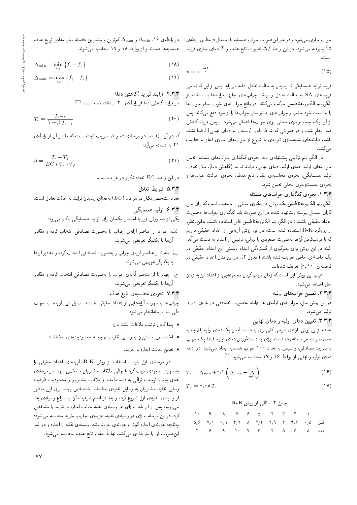جواب جاري مي شود و در غير اين صورت جواب همسايه با احتمال p مطابق رابطهي د پذیرفته می شود. در این رابطه  $\Delta f$  تغییرات تابع هدف و  $T$  دمای جاری فرایند  $\lambda$ 

$$
p = e^{-\frac{\Delta f}{T}} \tag{10}
$$

فرایند تولید همسایگی تا رسیدن به حالت تعادل ادامه می یابد. پس از این که تمامی فرایندهای SA به حالت تعادل رسیدند، جوابهای جاری فرایندها با استفاده از الگوريتم الكترومغناطيس حركت مىكنند. در واقع جواب هاى خوب، ساير جواب ها را به سمت خود جذب و جواب های بد نیز سایر جواب ها را از خود دفع میکنند. پس از آن، یک جستوجوی محلی روی جوابها اعمال میشود. سپس فرایند کاهش دما انجام شده و در صورتی که شرط پایان (رسیدن به دمای نهایی) ارضا نشده باشد، فرایندهای شبیهسازی تبریدی با شروع از جوابهای جاری آغاز به فعالیت مے ,کنند.

در الگوریتم ترکیبی پیشنهادی باید نحوهی کدگذاری جوابهای مسئله، تعیین جوابهای اولیه، دمای اولیه، دمای نهایی، فرایند تبرید (کاهش دما)، حال تعادل. تولید همسایگی، نحوهی محاسبهی مقدار تابع هدف، نحوهی حرکت جوابها و نحوه ی جستوجوی محلی تعیین شود.

#### ۱.۳.۳ . نحوه ی کدگذاری جواب های مسئله

الگوریتم الکترومغناطیس یک روش فراابتکاری مبتنی بر جمعیت است که برای حل کارای مسائل پیوسته پیشنهاد شده، در این صورت باید کدگذاری جوابها بهصورت اعداد حقيقي باشند تا در الكوريتم الكترومغناطيس قابل استفاده باشند. بهاين منظور از رویکرد R-K استفاده شده است. در این روش آرایهیی از اعداد حقیقی داریم که با مرتبکردن آنها بهصورت صعودی یا نزولی، ترتیبی از اعداد به دست میآید. البته در این روش برای جلوگیری از گستردگی اعداد بایستی این اعداد حقیقی در یک فاصلهی خاص تعریف شده باشند (جدول ۲). در این مثال اعداد حقیقی در فاصلهى [٩, ١٥ تعريف شدهاند.

عیب این روش این است که زمان مرتب کردن مجموعهیی از اعداد نیز به زمان حل اضافه مي شود.

#### ٢.٣.٣. تعيين جواب هاي اوليه

 $[l,u]$  در این روش حل، جوابهای اولیهی هر فرایند بهصورت تصادفی در بازهی توليد مى شود.

#### ۳.۳.۳. تعیین دمای اولیه و دمای نهایی

خصوصیات هر مسئلهبوده است. برای به دستآوردن دمای اولیه، ابتدا یک جواب به صورت تصادفی، و سپس به تعداد ۱۰۰ جواب همسایه ایجاد می شود. در ادامه دمای اولیه و نهایی از روابط ۱۶ و ۱۷ محاسبه میشود.[<sup>۲۱]</sup>

$$
T_{\rm c} = \Delta_{\rm min} + \gamma \sqrt{\Delta_{\rm max} - \Delta_{\rm min}}
$$
 (19)

$$
T_f = \circ \iota \circ \mathsf{A} \, T. \tag{1V}
$$

#### جدول ٢. مثالی از روش R-K.

| 1. 9 A V 9 Q F T T 1             |  |  |  |  |  |
|----------------------------------|--|--|--|--|--|
|                                  |  |  |  |  |  |
| بعد ۸ ۷ ۵ ۲ ۳ ۷ ۰ ۷ ۳ تا ۲ ۶ ۹ م |  |  |  |  |  |

در رابطهی ۱۶، مسلم و  $\Delta_{\rm max}$  کم ترین و بیشترین فاصله میان مقادیر توابع هدف همسایهها هستند و از روابط ۱۸ و ۱۹ محاسبه میشوند.

$$
\Delta_{\min} = \min_{i} \left\{ f_i - f_j \right\} \tag{1A}
$$

$$
\Delta_{\max} = \max_{i,j} \left\{ f_i - f_j \right\} \tag{14}
$$

### ۴.۳.۳. فرایند تبرید (کاهش دما)

<mark>در</mark> فرایند کاهش دما از رابطهی ۲۰ استفاده شده است:<sup>[۲۲]</sup>

$$
T_c = \frac{T_{c-1}}{1 + \beta T_{c-1}}\tag{1}
$$

که در آن،  $T_c$  دما در مرحلهی  $c$ ، و  $\beta$  ضرب ثابت است که مقدار آن از رابطهی ۲۱ به دست میآید:

$$
\beta = \frac{T_i - T_f}{EC * T_i * T_f} \tag{1}
$$

 $c$ در این رابطه،  $EC$  تعداد تکرار در هر دماست

#### ۵.۳.۳ شهارط تعادل

تعداد مشخص تکرار در هر دما (EC) بهمعنای رسیدن فرایند به حالت تعادل است.

### ۶.۳.۳ تولید همسایگی

یکی از سه روش زیر با احتمال یکسان برای تولید همسایگی بهکار می رود:

- الف) دو تا از عناصر آرایهی جواب را بهصورت تصادفی انتخاب کرده و مقادیر آن ها با يکديگر تعويض مي شوند.
- ب) سه تا از عناصر آرایهی جواب را بهصورت تصادفی انتخاب کرده و مقادیر آنها با یکدیگر تعویض می شوند.
- ج) چهار تا از عناصر آرایهی جواب را بهصورت تصادفی انتخاب کرده و مقادیر آنها با يكديگر تعويض مى شوند.

#### ۷.۳.۳. نحوهی محاسبهی تابع هدف

جواب ها به صورت آرایههایی از اعداد حقیقی هستند. تبدیل این آرایهها به جواب طی سه مرحلهانجام می شود:

- پیدا کردن ترتیب ملاقات مشتریان؛
- اختصاص مشتريان به وسايل نقليه با توجه به محدوديتهاى مختلف؛
	- تعيين حالت اجاره يا خريد.

در مرحلهی اول باید با استفاده از روش R-K، آرایههای اعداد حقیقی را بهصورت صعودی مرتب کرد تا توالی ملاقات مشتریان مشخص شود. در مرحلهی بعدی باید با توجه به توالمی به دست آمده از ملاقات مشتریان و محدودیت ظرفیت وسایل نقلیه، مشتریان به وسایل نقلیهی مختلف اختصاص یابند. برای این منظور از وسیلهی نقلیهی اول شروع کرده و بعد از اتمام ظرفیت آن به سراغ وسیلهی بعد می رویم. پس از آن باید بهازای هر وسیلهی نقلیه حالت اجاره یا خرید را مشخص کرد. در این مرحله بهازای هر وسیلهی نقلیه، هزینهی اجاره یا خرید محاسبه میشود؛ چنانچه هزینهی اجاره کمهتر از هزینهی خرید باشد، وسیلهی نقلیه را اجاره و در غیر این صورت آن را خریداری میکنند. نهایتاً، مقدار تابع هدف محاسبه میشود.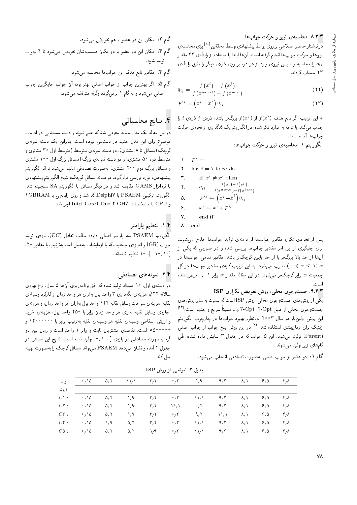#### ٨.٣.٣. محاسبهى نيرو و حركت جواب ها

در نوشتار حاضراصلاحي بر روى روابط پيشنهادي توسط محققين <sup>[٢٠]</sup> براي محاسبهي نيروها و حركت جواب ها انجام گرفته است. آن ها ابتدا با استفاده از رابطه ي ٢٢ مقدار را محاسبه و سپس نیروی وارد از هر ذره بر روی ذروی دیگر را طبق رابطهی ٢٣ حساب كردند.

$$
q_{ij} = \frac{f(x^i) - f(x^j)}{f(x^{worst}) - f(x^{best})}
$$
 (YY)

$$
F^{ij} = \left(x^j - x^i\right) q_{ij} \tag{Y}
$$

به این ترتیب اگر تابع هدف  $f(x^i)$  از  $f(x^j)$  بزرگ $\vec{J}$  بند، ذره $j$  ذره $j$  فرا جذب میکند. با توجه به موارد ذکر شده، در الگوریتم یک کدگذاری از نحوهی حرکت جواب ها آمده است.

الگوریتم ۱. محاسبهی نیرو و حرکت جوابها:

$$
\begin{array}{ll}\n\lambda & F^i \leftarrow & \circ \\
\mathbf{r} & \text{for } j = \lambda \text{ to } m\n\end{array}
$$

$$
\begin{array}{ll}\n\mathbf{r.} & \text{if } x^i \neq x^j \text{ then} \\
\mathbf{r.} & q_{ij} = \frac{f(x^i) - f(x^j)}{f(x^{worst}) - f(x^{best})} \\
\mathbf{r.} & F^{ij} \leftarrow \left(x^j - x^i\right) q_{ij} \\
\mathbf{r.} & x^i \leftarrow x^i + F^{ij}\n\end{array}
$$

 $d\sigma$ 

$$
\mathbf{v} = \text{end if}
$$

$$
\lambda = \text{end}
$$

یس از تعدادی تکرار، مقادیر جوابها از دامنهی تولید جوابها خارج می شوند. برای جلوگیری از این امر مقادیر جوابها بررسی شده و در صورتی که یکی از آنها از حد بالا بزرگ تر یا از حد پایین کوچک تر باشد، مقادیر تمامی جوابها در فرب می شود. به این ترتیب کلیهی مقادیر جوابها در کل  $\alpha \leq \lambda$ جمعیت a برابر کوچکتر می شود. در این مقاله مقدار a برابر ۰٫۰۱ فرض شده

#### ٩.٣.٣. جست وجوى محلى: روش تعويض تكرارى ISP

\_<br>یکی از روش های جستوجوی محلی، روش ISP است که نسبت به سایر روش های جستوجوی محلی از قبیل Opt ،۲-Opt و… نسبتاً سریع و جدید است.<sup>[۱۳]</sup> این روش اولینبار در سال ۲۰۰۳ بهمنظور بهبود جوابها در چارچوب الگوریتم ژنتیک برای زمان بندی استفاده شد.<sup>[۲۴]</sup> در این روش پنج جواب از جواب اصلبی (Parent) تولید میشود. این ۵ جواب که در جدول ۳ نمایش داده شده، طی گامهای زیر تولید می شوند:

گام ۱: دو عضو از جواب اصلی بهصورت تصادفی انتخاب میشود.

گام ۲: مکان این دو عضو با هم تعویض می شود.

- گام ۳: مکان این دو عضو با دو مکان همسایهشان تعویض می شود تا ۴ جواب توليد شود.
	- گام ۴: مقادیر تابع هدف این جوابها محاسبه میشود.
- گام ۰۵ اگر بهترین جواب از جواب اصلی بهتر بود، آن جواب جایگزین جواب اصلی میشود و به گام ۱ برمیگردد وگرنه متوقف میشود.

## ۴. نتایج محاسباتی

دراین مقاله یک مدل جدید معرفی شد که هیچ نمونه و دسته مسئلهیی در ادبیات موضوع برای این مدل جدید در دسترس نبوده است. بنابراین یک دسته نمونهی کوچک (مسائل تا ۸ مشتری)، دو دسته نمونهی متوسط (متوسط اول ۳۰ مشتری و متوسط دوم ۵۰ مشتری) و دو دسته نمونهی بزرگ (مسائل بزرگ اول ۱۰۰ مشتری و مسائل بزرگ دوم ° ۲۰ مشتری) به صورت تصادفی تولید می شود تا اثر الگوریتم پیشنهادی، مورد بررسی قرارگیرد. در دسته مسائل کوچک، نتایج الگوریتم پیشنهادی با نرمافزار GAMS مقايسه شد و در ديگر مسائل با الگوريتم SA سنجيده شد. الكوريتم تركيبي PSAEM با Delphi كد شد و روى رايانه يى با fGBRAM و CPU با مشخصات Intel Core ٌ Duo ۲ GHZ اجرا شد.

## ۰۱.۴ تنظیم پارامتر

الكوريتم PSAEM سه پارامتر اصلى دارد: حالت تعادل (EC)، بازەی توليد جواب (GR) و اندازهى جمعيت كه با أزمايشات بهعمل أمده بهترتيب با مقادير ٢٠، [۰٫۱۰]، ۱۰ تنظیم شدهاند.

#### ۲.۴. نمونههای تصادفی

در دسته ی اول، ۱۰ مسئله تولید شده که افق برنامه ریزی آنها ۵ سال، نرخ بهره ی سالانه ۲۲٪، هزینهی نگهداری ۳ واحد پول بهازای هر واحد زمان از کارکرد وسیلهی نقلیه، هزینهی سوخت وسایل نقلیه ۱۴۴ واحد پول بهازای هر واحد زمان، و هزینهی اجارهى وسايل نقليه بهازاى هر واحد زمان برابر با ٢٥٠ واحد پول، هزينهى خريد و ارزش اسقاطی وسیلهی نقلیه هر وسیلهی نقلیه بهترتیب برابر با معمعمع۱۴۰۰۰ و **۴٬۰۰۰٬۰۰۰ است. نقاضای مشتریان ثابت و برابر ۱ واحد است و زمان بین دو** گره بهصورت تصادفی در بازهی [۰٫۱۰۰] تولید شده است. نتایج این مسائل در جدول ۴ آمده و نشان می دهد PSAEM می تواند مسائل کوچک را بهصورت بهینه حل کند.

| $\cdot$ , \ $\Delta$       | $\Delta, \Upsilon$    | $\Delta \Delta \Delta$ | $\mathsf{r},\mathsf{r}$    | $^{\circ}$ , Y             | $\lambda/\lambda$                                    | 9,7                                 | $\lambda / \lambda$ | 8,0 | $\mathbf{r}^{\prime}$ |
|----------------------------|-----------------------|------------------------|----------------------------|----------------------------|------------------------------------------------------|-------------------------------------|---------------------|-----|-----------------------|
| $\cdot$ , \ $\Delta$       | $\Delta$ / ۲          | $\lambda$ , A          | $\mathsf{r}_1\mathsf{r}_2$ | $\circ$ / Y                | $\lambda \lambda \lambda$                            | 9/7                                 | $\lambda/\lambda$   | 8/0 | $\mathfrak{r}_\prime$ |
| $\rightarrow$ / \ $\Delta$ | $\Delta$ , $\Upsilon$ | $\lambda/\lambda$      | $\mathbf{r}, \mathbf{r}$   | $\mathcal{N}(\mathcal{N})$ | $\cdot$ , $\cdot$                                    | 9/7                                 | $\lambda/\lambda$   | 8/0 | $\mathfrak{r}_\prime$ |
| $\cdot$ , \ $\Delta$       | $\Delta$ , $\Upsilon$ | $\lambda/\lambda$      | $\mathbf{r}, \mathbf{r}$   | $\cdot$ , $\cdot$          | 9/7                                                  | $\mathcal{N} \setminus \mathcal{N}$ | $\lambda/\lambda$   | 8/0 | $\mathbf{r}^{\prime}$ |
| $\partial/\partial$        | $\lambda/\lambda$     | $\Delta$ , ۲           | $\mathbf{r}, \mathbf{r}$   | $\cdot$ , $\cdot$          | $\mathcal{N} \setminus \mathcal{N}$                  | 9/7                                 | $\lambda/\lambda$   | 8/0 | $\mathfrak{r}_\prime$ |
| $\cdot$ , \ $\circ$        | $\Delta$ , ۲          | $\Delta$ , ۲           | $\lambda/\lambda$          | $\cdot$ , $\cdot$          | $\mathcal{N}_{\mathcal{L}}\mathcal{N}_{\mathcal{L}}$ | 9/7                                 | $\lambda/\lambda$   | 8/0 | $\mathfrak{r}_\prime$ |

حدول ٣. نمونه یی از روش ISP.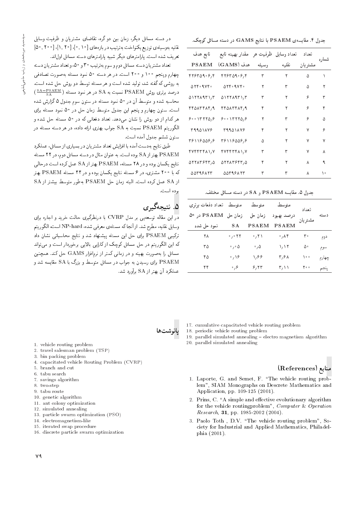جدول ۴. مقایسهی PSAEM با نتایج GAMS در دسته مسائل کوچک.

| تابع هدف                                                                    | تعداد وسايل ظرفيت هر _مقدار بهينه تابع                                      |       |       | تعداد    | شماره |
|-----------------------------------------------------------------------------|-----------------------------------------------------------------------------|-------|-------|----------|-------|
| <b>PSAEM</b>                                                                | هدف (GAMS)                                                                  | وسيله | نقلمه | مشتر یان |       |
| ۴۲۶۳۵۹۰۶٫۴                                                                  | 875709.57                                                                   | ٣     | ٢     | ۵        |       |
| $\Delta \mathbf{Y} \mathbf{F} \cdot \mathbf{A} \mathbf{V} \mathbf{F} \cdot$ | $\Delta \mathsf{Y} \mathsf{F} \cdot \mathsf{Y} \mathsf{Y} \mathsf{F} \cdot$ | ۲     | ٣     | Δ        | ۲     |
| ۵۱۲۲۸۹۳۱٫۳                                                                  | 0111111717                                                                  | ٣     | ۲     | ۶        | ۳     |
| ۴۴۵۸۳۴۸۴/۹                                                                  | $f f \Delta \Lambda f f \Lambda f$ , q                                      | ۴     | ۲     | ۶        | ۴     |
| 9.017770, 9                                                                 | 50.17770,5                                                                  | ۲     | ٣     | ۶        | Δ     |
| <b>TAADJAVS</b>                                                             | <b>TAA01478</b>                                                             | ۴     | ۲     | ٧        | ۶     |
| ۳۶۱۱۶۵۵۶٫۶                                                                  | ۳۶۱۱۶۵۵۶/۶                                                                  | Δ     | ۲     | ٧        | ٧     |
| ۴۷۴۴۳۴۸۱٫۷                                                                  | FVFFTFA1, V                                                                 | ٣     | ٣     | ٧        | ٨     |
| ۵۲۲۸۳۶۴۳٫۵                                                                  | ۵۲۲۸۳۶۴۳٫۵                                                                  | ۴     | ۲     | ٨        | ٩     |
| 5549887                                                                     | 5546885                                                                     | ٣     |       | ٨        | ۱۰    |

#### جدول ۵. مقایسه PSAEM و SA در دسته مسائل مختلف.

| متوسط - تعداد دفعات برترى |                            | متوسط              | متوسط                           | تعداد    |        |
|---------------------------|----------------------------|--------------------|---------------------------------|----------|--------|
| PSAEM در ∘۵               | زمان حل                    | زمان حل            | درصد بهبود                      | مشتر يان | دسته   |
| نمود حل شده               | SА                         | <b>PSAEM</b>       | <b>PSAEM</b>                    |          |        |
| ۲۸                        | ۲۲ ق                       | ٬٫۲۱               | $\cdot$ , $\wedge \mathfrak{r}$ | ۳۰       | دوم    |
| ۳۵                        | $\cdot$ , $\circ$ $\Delta$ | $\cdot$ , $\Delta$ | <b>\, \ ۲</b>                   | ۵۰       | سوم    |
| ۴۵                        | $\cdot$ , $\setminus$ 6    | ۱,۶۶               | ۳٬۶۸                            | ه ه (    | چها رم |
| ۴۴                        | ۶، ه                       | ۶٬۲۳               | ۲٫۱۱                            | ه ه ۲    | ينجم   |

در دسته مسائل دیگر، زمان بین دو گره، تقاضای مشتریان و ظرفیت وسایل نقلیه بهوسیلهی توزیع یکنواخت بهترتیب در بازههای [۰٫ ۱۰]، [۱٫ ۲۰]، [۵۰٫ ۵۰] .<br>تعریف شده است. بارامترهای دیگر شبیه پارامترهای دسته مسائل اول|ند.

تعداد مشتریان دسته مسائل دوم و سوم بهترتیب ۳۰ و ۵۰، و تعداد مشتر بان دسته چهارم وپنجم ۱۰۰ و ۲۰۰ است. در هر دسته ۵۰ نمود مسئله بهصورت تصادفی به روشی که گفته شد، تولید شده است و هر مسئله توسط دو روش حل شده است. درصد برتری روش PSAEM نسبت به SA در هر نمود مسئله ( $\frac{\text{SA-PSAEM}}{\text{s A}}$ ) محاسبه شده و متوسط آن در ۵۰ نمود مسئله در ستون سوم جدول ۵ گزارش شده است. ستون جهارم و پنجم این جدول متوسط زمان حل در ۵۰ نمود مسئله برای هر کدام از دو روش را نشان می دهد. تعداد دفعاتی که در ۵۰ مسئله حل شده و الگوریتم PSAEM نسبت به SA جواب بهتری ارائه داده، در هر دسته مسئله در ستون ششم جدول آمده است.

طبق نتایج بهدست آمده با افزایش تعداد مشتریان در بسیاری از مسائل، عملکرد PSAEM بهتراز SA بوده است. به عنوان مثال در دسته مسائل دوم، در ۲۲ مسئله .<br>نتايج يكسان بوده و در ۲۸ مسئله، PSAEM بهتر از SA عمل كرده است درحالي که با ۲۰۰ مشتری، در ۶ مسئله نتایج یکسان بوده و در ۴۴ مسئله PSAEM بهتر از SA عمل کرده است. البته زمان حل PSAEM بهطور متوسط بیشتر از SA بوده است.

## ۵. نتيجەگىرى

در این مقاله توسعه بی بر مدل CVRP با درنظرگیری حالت خرید و اجاره برای وسایل نقلیه، مطرح شد. از آنجا که مسئلهی معرفی شده، NP-hard است، الگوریتم ترکیبی PSAEM برای حل این مسئله پیشنهاد شد و نتایج محاسباتی نشان داد که این الگوریتم در حل مسائل کوچک از کارایی بالایی برخوردار است و میتواند مسائل را به صورت بهینه و در زمانی کمتر از نرم|فزار GAMS حل کند. همچنین PSAEM برای رسیدن به جواب در مسائل متوسط و بزرگ با SA مقایسه شد و عملکرد آن بهتر از SA برآورد شد.

- 1. vehicle routing problem
- 2. travel salesman problem (TSP)
- 3. bin packing problem
- 4. capacitated vehicle Routing Problem (CVRP)
- 5. branch and cut
- 6. tabu search
- 7. savings algorithm
- 8. two-step
- 9. tabu route
- 10. genetic algorithm
- 11. ant colony optimization
- 12. simulated annealing
- 13. particle swarm optimization (PSO)
- 14. electromagnetism-like
- 15. iterated swap procedure
- 16. discrete particle swarm optimization



- 18. periodic vehicle routing problem
- 19. parallel simulated annealing electro magnetism algorithm
- 20. parallel simulated annealing

## منابع (References)

- 1. Laporte, G. and Semet, F. "The vehicle routing problem", SIAM Monographs on Descrete Mathematics and Application, pp. 109-125 (2001).
- 2. Prins, C. "A simple and effective evolutionary algorithm for the vehicle routing problem", Computer & Operation Research, 31, pp. 1985-2002 (2004).
- 3. Paolo Toth, D.V. "The vehicle routing problem", Society for Industrial and Applied Mathematics, Philadelphia (2001).